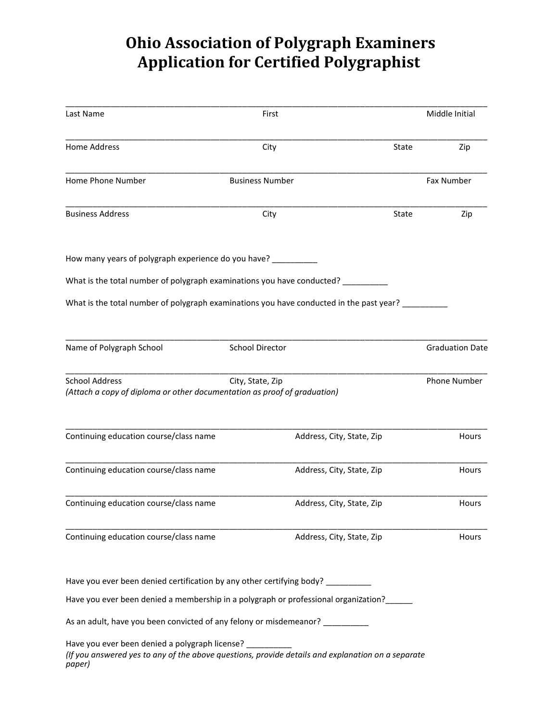## **Ohio Association of Polygraph Examiners Application for Certified Polygraphist**

| Last Name                                                                                                                                                             | First                  |                           |       | Middle Initial         |
|-----------------------------------------------------------------------------------------------------------------------------------------------------------------------|------------------------|---------------------------|-------|------------------------|
| <b>Home Address</b>                                                                                                                                                   | City                   |                           | State | Zip                    |
| Home Phone Number                                                                                                                                                     | <b>Business Number</b> |                           |       | Fax Number             |
| <b>Business Address</b>                                                                                                                                               | City                   |                           | State | Zip                    |
| How many years of polygraph experience do you have? ___________                                                                                                       |                        |                           |       |                        |
| What is the total number of polygraph examinations you have conducted? _________                                                                                      |                        |                           |       |                        |
| What is the total number of polygraph examinations you have conducted in the past year? _                                                                             |                        |                           |       |                        |
| Name of Polygraph School                                                                                                                                              | School Director        |                           |       | <b>Graduation Date</b> |
| <b>School Address</b><br>(Attach a copy of diploma or other documentation as proof of graduation)                                                                     | City, State, Zip       |                           |       | <b>Phone Number</b>    |
| Continuing education course/class name                                                                                                                                |                        | Address, City, State, Zip |       | Hours                  |
| Continuing education course/class name                                                                                                                                |                        | Address, City, State, Zip |       | Hours                  |
| Continuing education course/class name                                                                                                                                |                        | Address, City, State, Zip |       | Hours                  |
| Continuing education course/class name                                                                                                                                |                        | Address, City, State, Zip |       | Hours                  |
| Have you ever been denied certification by any other certifying body? _________                                                                                       |                        |                           |       |                        |
| Have you ever been denied a membership in a polygraph or professional organization?                                                                                   |                        |                           |       |                        |
| As an adult, have you been convicted of any felony or misdemeanor? ___________                                                                                        |                        |                           |       |                        |
| Have you ever been denied a polygraph license? _______<br>(If you answered yes to any of the above questions, provide details and explanation on a separate<br>paper) |                        |                           |       |                        |